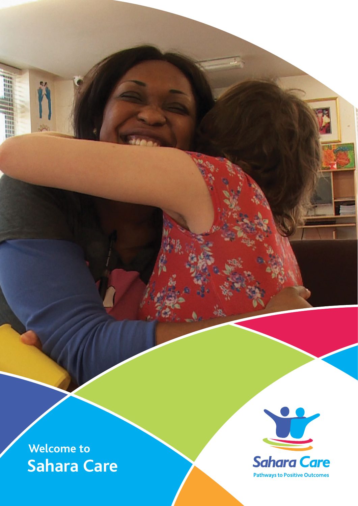

H

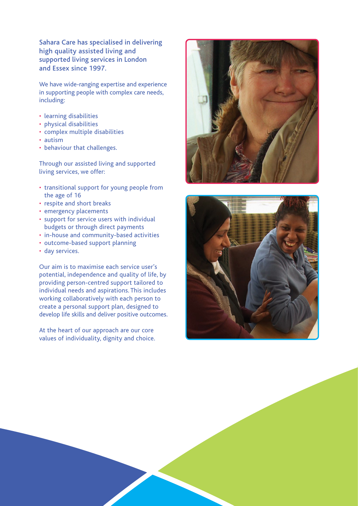Sahara Care has specialised in delivering high quality assisted living and supported living services in London and Essex since 1997.

We have wide-ranging expertise and experience in supporting people with complex care needs, including:

- learning disabilities
- physical disabilities
- complex multiple disabilities
- autism
- behaviour that challenges.

Through our assisted living and supported living services, we offer:

- transitional support for young people from the age of 16
- respite and short breaks
- emergency placements
- support for service users with individual budgets or through direct payments
- in-house and community-based activities
- outcome-based support planning
- day services.

Our aim is to maximise each service user's potential, independence and quality of life, by providing person-centred support tailored to individual needs and aspirations. This includes working collaboratively with each person to create a personal support plan, designed to develop life skills and deliver positive outcomes.

At the heart of our approach are our core values of individuality, dignity and choice.



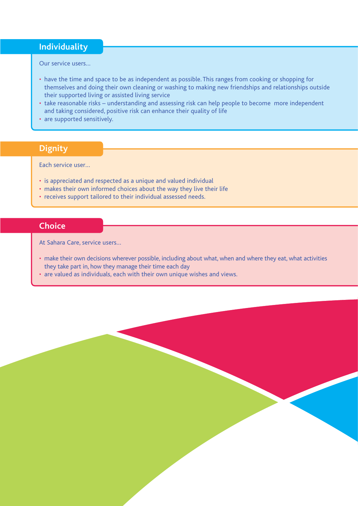## **Individuality**

Our service users…

- have the time and space to be as independent as possible. This ranges from cooking or shopping for themselves and doing their own cleaning or washing to making new friendships and relationships outside their supported living or assisted living service
- take reasonable risks understanding and assessing risk can help people to become more independent and taking considered, positive risk can enhance their quality of life
- are supported sensitively.

## **Dignity**

Each service user…

- is appreciated and respected as a unique and valued individual
- makes their own informed choices about the way they live their life
- receives support tailored to their individual assessed needs.

## **Choice**

At Sahara Care, service users…

- make their own decisions wherever possible, including about what, when and where they eat, what activities they take part in, how they manage their time each day
- are valued as individuals, each with their own unique wishes and views.